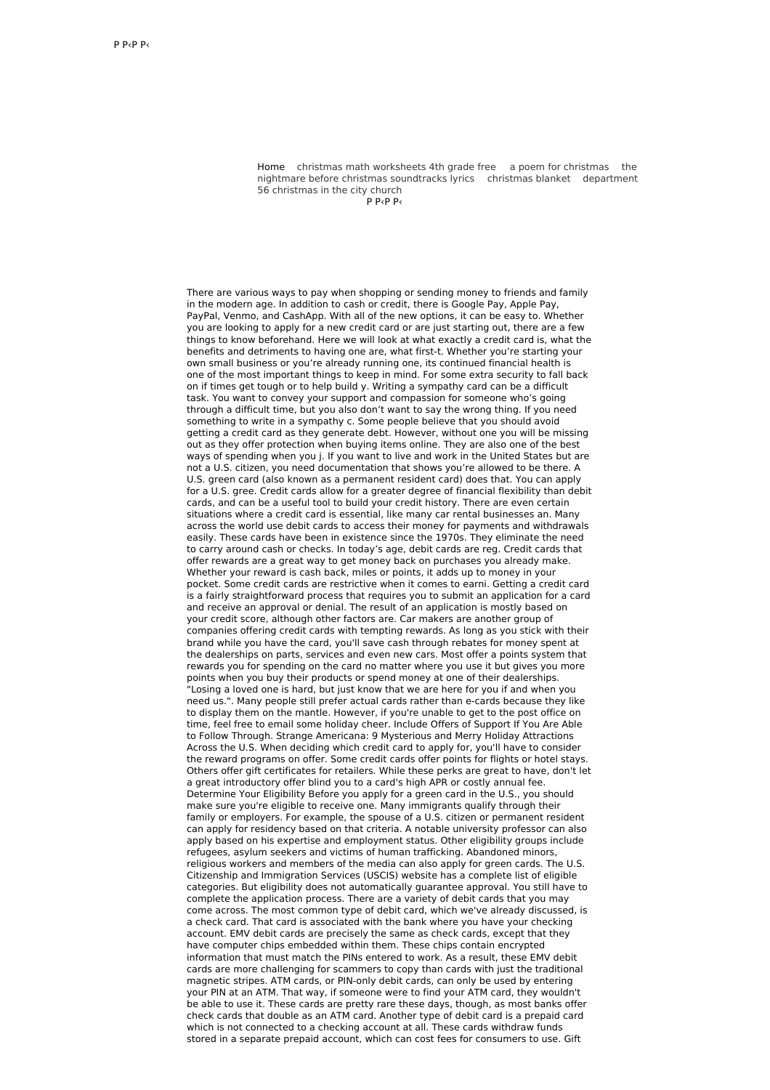Home christmas math [worksheets](http://foto-ms.pl/detail/news/167035/chrismas/) 4th grade free a poem for [christmas](http://foto-ms.pl/detail/news/195040/chrismas/) the nightmare before christmas [soundtracks](http://foto-ms.pl/detail/news/301501/chrismas/) lyrics [christmas](http://foto-ms.pl/detail/news/776209/chrismas/) blanket department 56 christmas in the city church

Р Р‹Р Р‹

There are various ways to pay when shopping or sending money to friends and family in the modern age. In addition to cash or credit, there is Google Pay, Apple Pay, PayPal, Venmo, and CashApp. With all of the new options, it can be easy to. Whether you are looking to apply for a new credit card or are just starting out, there are a few things to know beforehand. Here we will look at what exactly a credit card is, what the benefits and detriments to having one are, what first-t. Whether you're starting your own small business or you're already running one, its continued financial health is one of the most important things to keep in mind. For some extra security to fall back on if times get tough or to help build y. Writing a sympathy card can be a difficult task. You want to convey your support and compassion for someone who's going through a difficult time, but you also don't want to say the wrong thing. If you need something to write in a sympathy c. Some people believe that you should avoid getting a credit card as they generate debt. However, without one you will be missing out as they offer protection when buying items online. They are also one of the best ways of spending when you j. If you want to live and work in the United States but are not a U.S. citizen, you need documentation that shows you're allowed to be there. A U.S. green card (also known as a permanent resident card) does that. You can apply for a U.S. gree. Credit cards allow for a greater degree of financial flexibility than debit cards, and can be a useful tool to build your credit history. There are even certain situations where a credit card is essential, like many car rental businesses an. Many across the world use debit cards to access their money for payments and withdrawals easily. These cards have been in existence since the 1970s. They eliminate the need to carry around cash or checks. In today's age, debit cards are reg. Credit cards that offer rewards are a great way to get money back on purchases you already make. Whether your reward is cash back, miles or points, it adds up to money in your pocket. Some credit cards are restrictive when it comes to earni. Getting a credit card is a fairly straightforward process that requires you to submit an application for a card and receive an approval or denial. The result of an application is mostly based on your credit score, although other factors are. Car makers are another group of companies offering credit cards with tempting rewards. As long as you stick with their brand while you have the card, you'll save cash through rebates for money spent at the dealerships on parts, services and even new cars. Most offer a points system that rewards you for spending on the card no matter where you use it but gives you more points when you buy their products or spend money at one of their dealerships. "Losing a loved one is hard, but just know that we are here for you if and when you need us.". Many people still prefer actual cards rather than e-cards because they like to display them on the mantle. However, if you're unable to get to the post office on time, feel free to email some holiday cheer. Include Offers of Support If You Are Able to Follow Through. Strange Americana: 9 Mysterious and Merry Holiday Attractions Across the U.S. When deciding which credit card to apply for, you'll have to consider the reward programs on offer. Some credit cards offer points for flights or hotel stays. Others offer gift certificates for retailers. While these perks are great to have, don't let a great introductory offer blind you to a card's high APR or costly annual fee. Determine Your Eligibility Before you apply for a green card in the U.S., you should make sure you're eligible to receive one. Many immigrants qualify through their family or employers. For example, the spouse of a U.S. citizen or permanent resident can apply for residency based on that criteria. A notable university professor can also apply based on his expertise and employment status. Other eligibility groups include refugees, asylum seekers and victims of human trafficking. Abandoned minors, religious workers and members of the media can also apply for green cards. The U.S. Citizenship and Immigration Services (USCIS) website has a complete list of eligible categories. But eligibility does not automatically guarantee approval. You still have to complete the application process. There are a variety of debit cards that you may come across. The most common type of debit card, which we've already discussed, is a check card. That card is associated with the bank where you have your checking account. EMV debit cards are precisely the same as check cards, except that they have computer chips embedded within them. These chips contain encrypted information that must match the PINs entered to work. As a result, these EMV debit cards are more challenging for scammers to copy than cards with just the traditional magnetic stripes. ATM cards, or PIN-only debit cards, can only be used by entering your PIN at an ATM. That way, if someone were to find your ATM card, they wouldn't be able to use it. These cards are pretty rare these days, though, as most banks offer check cards that double as an ATM card. Another type of debit card is a prepaid card which is not connected to a checking account at all. These cards withdraw funds stored in a separate prepaid account, which can cost fees for consumers to use. Gift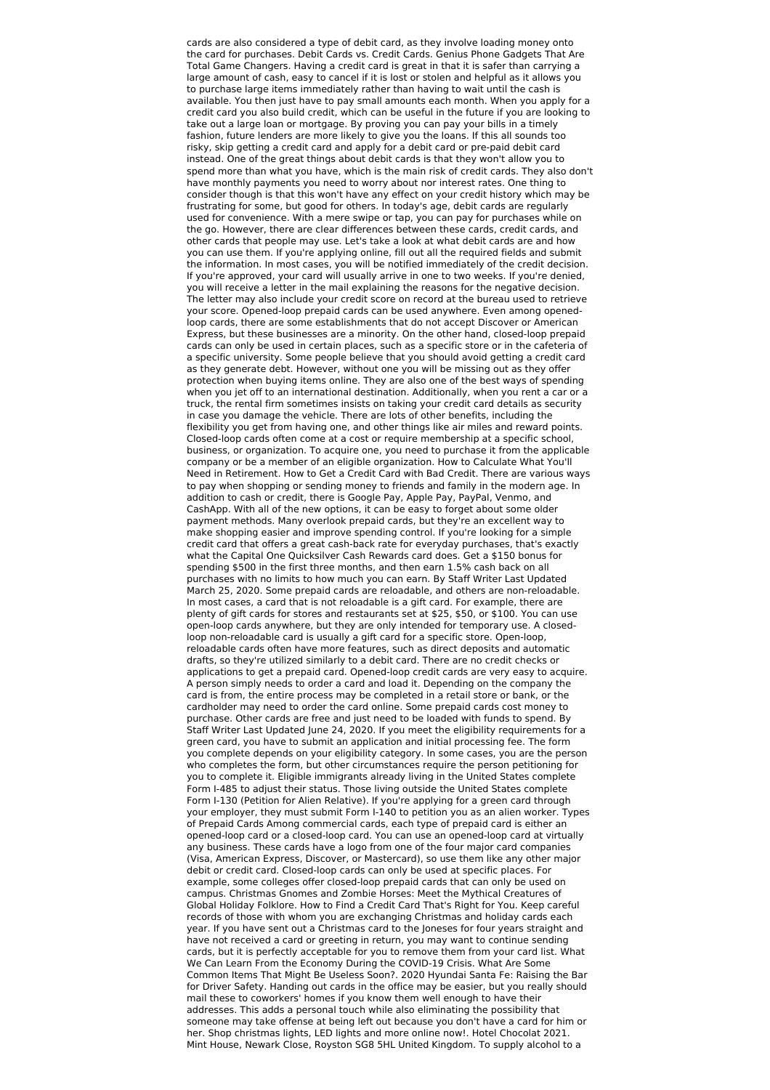cards are also considered a type of debit card, as they involve loading money onto the card for purchases. Debit Cards vs. Credit Cards. Genius Phone Gadgets That Are Total Game Changers. Having a credit card is great in that it is safer than carrying a large amount of cash, easy to cancel if it is lost or stolen and helpful as it allows you to purchase large items immediately rather than having to wait until the cash is available. You then just have to pay small amounts each month. When you apply for a credit card you also build credit, which can be useful in the future if you are looking to take out a large loan or mortgage. By proving you can pay your bills in a timely fashion, future lenders are more likely to give you the loans. If this all sounds too risky, skip getting a credit card and apply for a debit card or pre-paid debit card instead. One of the great things about debit cards is that they won't allow you to spend more than what you have, which is the main risk of credit cards. They also don't have monthly payments you need to worry about nor interest rates. One thing to consider though is that this won't have any effect on your credit history which may be frustrating for some, but good for others. In today's age, debit cards are regularly used for convenience. With a mere swipe or tap, you can pay for purchases while on the go. However, there are clear differences between these cards, credit cards, and other cards that people may use. Let's take a look at what debit cards are and how you can use them. If you're applying online, fill out all the required fields and submit the information. In most cases, you will be notified immediately of the credit decision. If you're approved, your card will usually arrive in one to two weeks. If you're denied, you will receive a letter in the mail explaining the reasons for the negative decision. The letter may also include your credit score on record at the bureau used to retrieve your score. Opened-loop prepaid cards can be used anywhere. Even among openedloop cards, there are some establishments that do not accept Discover or American Express, but these businesses are a minority. On the other hand, closed-loop prepaid cards can only be used in certain places, such as a specific store or in the cafeteria of a specific university. Some people believe that you should avoid getting a credit card as they generate debt. However, without one you will be missing out as they offer protection when buying items online. They are also one of the best ways of spending when you jet off to an international destination. Additionally, when you rent a car or a truck, the rental firm sometimes insists on taking your credit card details as security in case you damage the vehicle. There are lots of other benefits, including the flexibility you get from having one, and other things like air miles and reward points. Closed-loop cards often come at a cost or require membership at a specific school, business, or organization. To acquire one, you need to purchase it from the applicable company or be a member of an eligible organization. How to Calculate What You'll Need in Retirement. How to Get a Credit Card with Bad Credit. There are various ways to pay when shopping or sending money to friends and family in the modern age. In addition to cash or credit, there is Google Pay, Apple Pay, PayPal, Venmo, and CashApp. With all of the new options, it can be easy to forget about some older payment methods. Many overlook prepaid cards, but they're an excellent way to make shopping easier and improve spending control. If you're looking for a simple credit card that offers a great cash-back rate for everyday purchases, that's exactly what the Capital One Quicksilver Cash Rewards card does. Get a \$150 bonus for spending \$500 in the first three months, and then earn 1.5% cash back on all purchases with no limits to how much you can earn. By Staff Writer Last Updated March 25, 2020. Some prepaid cards are reloadable, and others are non-reloadable. In most cases, a card that is not reloadable is a gift card. For example, there are plenty of gift cards for stores and restaurants set at \$25, \$50, or \$100. You can use open-loop cards anywhere, but they are only intended for temporary use. A closedloop non-reloadable card is usually a gift card for a specific store. Open-loop, reloadable cards often have more features, such as direct deposits and automatic drafts, so they're utilized similarly to a debit card. There are no credit checks or applications to get a prepaid card. Opened-loop credit cards are very easy to acquire. A person simply needs to order a card and load it. Depending on the company the card is from, the entire process may be completed in a retail store or bank, or the cardholder may need to order the card online. Some prepaid cards cost money to purchase. Other cards are free and just need to be loaded with funds to spend. By Staff Writer Last Updated June 24, 2020. If you meet the eligibility requirements for a green card, you have to submit an application and initial processing fee. The form you complete depends on your eligibility category. In some cases, you are the person who completes the form, but other circumstances require the person petitioning for you to complete it. Eligible immigrants already living in the United States complete Form I-485 to adjust their status. Those living outside the United States complete Form I-130 (Petition for Alien Relative). If you're applying for a green card through your employer, they must submit Form I-140 to petition you as an alien worker. Types of Prepaid Cards Among commercial cards, each type of prepaid card is either an opened-loop card or a closed-loop card. You can use an opened-loop card at virtually any business. These cards have a logo from one of the four major card companies (Visa, American Express, Discover, or Mastercard), so use them like any other major debit or credit card. Closed-loop cards can only be used at specific places. For example, some colleges offer closed-loop prepaid cards that can only be used on campus. Christmas Gnomes and Zombie Horses: Meet the Mythical Creatures of Global Holiday Folklore. How to Find a Credit Card That's Right for You. Keep careful records of those with whom you are exchanging Christmas and holiday cards each year. If you have sent out a Christmas card to the Joneses for four years straight and have not received a card or greeting in return, you may want to continue sending cards, but it is perfectly acceptable for you to remove them from your card list. What We Can Learn From the Economy During the COVID-19 Crisis. What Are Some Common Items That Might Be Useless Soon?. 2020 Hyundai Santa Fe: Raising the Bar for Driver Safety. Handing out cards in the office may be easier, but you really should mail these to coworkers' homes if you know them well enough to have their addresses. This adds a personal touch while also eliminating the possibility that someone may take offense at being left out because you don't have a card for him or her. Shop christmas lights, LED lights and more online now!. Hotel Chocolat 2021. Mint House, Newark Close, Royston SG8 5HL United Kingdom. To supply alcohol to a